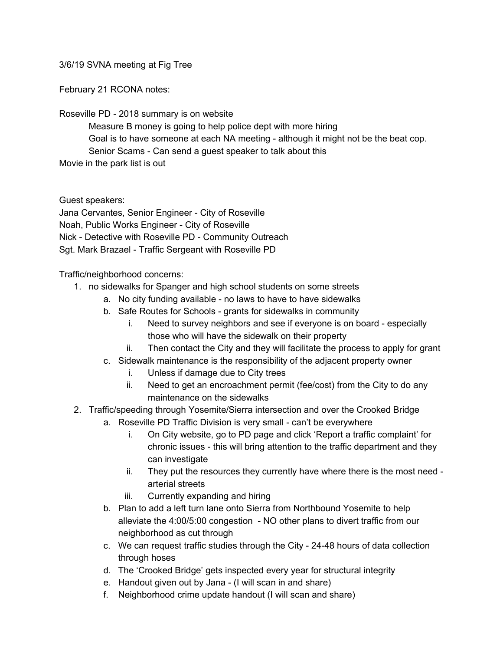3/6/19 SVNA meeting at Fig Tree

February 21 RCONA notes:

Roseville PD - 2018 summary is on website

Measure B money is going to help police dept with more hiring Goal is to have someone at each NA meeting - although it might not be the beat cop. Senior Scams - Can send a guest speaker to talk about this Movie in the park list is out

Guest speakers:

Jana Cervantes, Senior Engineer - City of Roseville Noah, Public Works Engineer - City of Roseville Nick - Detective with Roseville PD - Community Outreach Sgt. Mark Brazael - Traffic Sergeant with Roseville PD

Traffic/neighborhood concerns:

- 1. no sidewalks for Spanger and high school students on some streets
	- a. No city funding available no laws to have to have sidewalks
	- b. Safe Routes for Schools grants for sidewalks in community
		- i. Need to survey neighbors and see if everyone is on board especially those who will have the sidewalk on their property
		- ii. Then contact the City and they will facilitate the process to apply for grant
	- c. Sidewalk maintenance is the responsibility of the adjacent property owner
		- i. Unless if damage due to City trees
		- ii. Need to get an encroachment permit (fee/cost) from the City to do any maintenance on the sidewalks
- 2. Traffic/speeding through Yosemite/Sierra intersection and over the Crooked Bridge
	- a. Roseville PD Traffic Division is very small can't be everywhere
		- i. On City website, go to PD page and click 'Report a traffic complaint' for chronic issues - this will bring attention to the traffic department and they can investigate
		- ii. They put the resources they currently have where there is the most need arterial streets
		- iii. Currently expanding and hiring
	- b. Plan to add a left turn lane onto Sierra from Northbound Yosemite to help alleviate the 4:00/5:00 congestion - NO other plans to divert traffic from our neighborhood as cut through
	- c. We can request traffic studies through the City 24-48 hours of data collection through hoses
	- d. The 'Crooked Bridge' gets inspected every year for structural integrity
	- e. Handout given out by Jana (I will scan in and share)
	- f. Neighborhood crime update handout (I will scan and share)